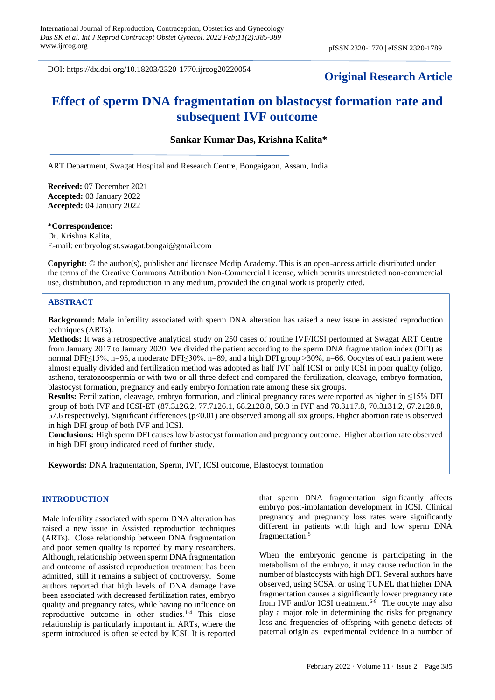DOI: https://dx.doi.org/10.18203/2320-1770.ijrcog20220054

# **Original Research Article**

# **Effect of sperm DNA fragmentation on blastocyst formation rate and subsequent IVF outcome**

# **Sankar Kumar Das, Krishna Kalita\***

ART Department, Swagat Hospital and Research Centre, Bongaigaon, Assam, India

**Received:** 07 December 2021 **Accepted:** 03 January 2022 **Accepted:** 04 January 2022

**\*Correspondence:**

Dr. Krishna Kalita, E-mail: embryologist.swagat.bongai@gmail.com

**Copyright:** © the author(s), publisher and licensee Medip Academy. This is an open-access article distributed under the terms of the Creative Commons Attribution Non-Commercial License, which permits unrestricted non-commercial use, distribution, and reproduction in any medium, provided the original work is properly cited.

#### **ABSTRACT**

**Background:** Male infertility associated with sperm DNA alteration has raised a new issue in assisted reproduction techniques (ARTs).

**Methods:** It was a retrospective analytical study on 250 cases of routine IVF/ICSI performed at Swagat ART Centre from January 2017 to January 2020. We divided the patient according to the sperm DNA fragmentation index (DFI) as normal DFI≤15%, n=95, a moderate DFI≤30%, n=89, and a high DFI group >30%, n=66. Oocytes of each patient were almost equally divided and fertilization method was adopted as half IVF half ICSI or only ICSI in poor quality (oligo, astheno, teratozoospermia or with two or all three defect and compared the fertilization, cleavage, embryo formation, blastocyst formation, pregnancy and early embryo formation rate among these six groups.

**Results:** Fertilization, cleavage, embryo formation, and clinical pregnancy rates were reported as higher in ≤15% DFI group of both IVF and ICSI-ET (87.3±26.2, 77.7±26.1, 68.2±28.8, 50.8 in IVF and 78.3±17.8, 70.3±31.2, 67.2±28.8, 57.6 respectively). Significant differences (p<0.01) are observed among all six groups. Higher abortion rate is observed in high DFI group of both IVF and ICSI.

**Conclusions:** High sperm DFI causes low blastocyst formation and pregnancy outcome. Higher abortion rate observed in high DFI group indicated need of further study.

**Keywords:** DNA fragmentation, Sperm, IVF, ICSI outcome, Blastocyst formation

#### **INTRODUCTION**

Male infertility associated with sperm DNA alteration has raised a new issue in Assisted reproduction techniques (ARTs). Close relationship between DNA fragmentation and poor semen quality is reported by many researchers. Although, relationship between sperm DNA fragmentation and outcome of assisted reproduction treatment has been admitted, still it remains a subject of controversy. Some authors reported that high levels of DNA damage have been associated with decreased fertilization rates, embryo quality and pregnancy rates, while having no influence on reproductive outcome in other studies. 1-4 This close relationship is particularly important in ARTs, where the sperm introduced is often selected by ICSI. It is reported

that sperm DNA fragmentation significantly affects embryo post-implantation development in ICSI. Clinical pregnancy and pregnancy loss rates were significantly different in patients with high and low sperm DNA fragmentation.<sup>5</sup>

When the embryonic genome is participating in the metabolism of the embryo, it may cause reduction in the number of blastocysts with high DFI. Several authors have observed, using SCSA, or using TUNEL that higher DNA fragmentation causes a significantly lower pregnancy rate from IVF and/or ICSI treatment.<sup>6-8</sup> The oocyte may also play a major role in determining the risks for pregnancy loss and frequencies of offspring with genetic defects of paternal origin as experimental evidence in a number of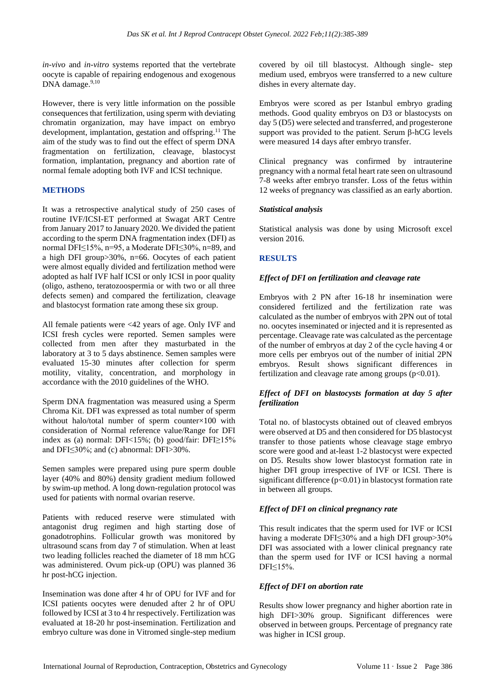*in-vivo* and *in-vitro* systems reported that the vertebrate oocyte is capable of repairing endogenous and exogenous DNA damage.<sup>9,10</sup>

However, there is very little information on the possible consequences that fertilization, using sperm with deviating chromatin organization, may have impact on embryo development, implantation, gestation and offspring.<sup>11</sup> The aim of the study was to find out the effect of sperm DNA fragmentation on fertilization, cleavage, blastocyst formation, implantation, pregnancy and abortion rate of normal female adopting both IVF and ICSI technique.

# **METHODS**

It was a retrospective analytical study of 250 cases of routine IVF/ICSI-ET performed at Swagat ART Centre from January 2017 to January 2020. We divided the patient according to the sperm DNA fragmentation index (DFI) as normal DFI≤15%, n=95, a Moderate DFI≤30%, n=89, and a high DFI group>30%, n=66. Oocytes of each patient were almost equally divided and fertilization method were adopted as half IVF half ICSI or only ICSI in poor quality (oligo, astheno, teratozoospermia or with two or all three defects semen) and compared the fertilization, cleavage and blastocyst formation rate among these six group.

All female patients were <42 years of age. Only IVF and ICSI fresh cycles were reported. Semen samples were collected from men after they masturbated in the laboratory at 3 to 5 days abstinence. Semen samples were evaluated 15-30 minutes after collection for sperm motility, vitality, concentration, and morphology in accordance with the 2010 guidelines of the WHO.

Sperm DNA fragmentation was measured using a Sperm Chroma Kit. DFI was expressed as total number of sperm without halo/total number of sperm counter×100 with consideration of Normal reference value/Range for DFI index as (a) normal: DFI<15%; (b) good/fair: DFI≥15% and DFI≤30%; and (c) abnormal: DFI>30%.

Semen samples were prepared using pure sperm double layer (40% and 80%) density gradient medium followed by swim-up method. A long down-regulation protocol was used for patients with normal ovarian reserve.

Patients with reduced reserve were stimulated with antagonist drug regimen and high starting dose of gonadotrophins. Follicular growth was monitored by ultrasound scans from day 7 of stimulation. When at least two leading follicles reached the diameter of 18 mm hCG was administered. Ovum pick-up (OPU) was planned 36 hr post-hCG injection.

Insemination was done after 4 hr of OPU for IVF and for ICSI patients oocytes were denuded after 2 hr of OPU followed by ICSI at 3 to 4 hr respectively. Fertilization was evaluated at 18-20 hr post-insemination. Fertilization and embryo culture was done in Vitromed single-step medium covered by oil till blastocyst. Although single- step medium used, embryos were transferred to a new culture dishes in every alternate day.

Embryos were scored as per Istanbul embryo grading methods. Good quality embryos on D3 or blastocysts on day 5 (D5) were selected and transferred, and progesterone support was provided to the patient. Serum β-hCG levels were measured 14 days after embryo transfer.

Clinical pregnancy was confirmed by intrauterine pregnancy with a normal fetal heart rate seen on ultrasound 7-8 weeks after embryo transfer. Loss of the fetus within 12 weeks of pregnancy was classified as an early abortion.

# *Statistical analysis*

Statistical analysis was done by using Microsoft excel version 2016.

# **RESULTS**

# *Effect of DFI on fertilization and cleavage rate*

Embryos with 2 PN after 16-18 hr insemination were considered fertilized and the fertilization rate was calculated as the number of embryos with 2PN out of total no. oocytes inseminated or injected and it is represented as percentage. Cleavage rate was calculated as the percentage of the number of embryos at day 2 of the cycle having 4 or more cells per embryos out of the number of initial 2PN embryos. Result shows significant differences in fertilization and cleavage rate among groups  $(p<0.01)$ .

#### *Effect of DFI on blastocysts formation at day 5 after fertilization*

Total no. of blastocysts obtained out of cleaved embryos were observed at D5 and then considered for D5 blastocyst transfer to those patients whose cleavage stage embryo score were good and at-least 1-2 blastocyst were expected on D5. Results show lower blastocyst formation rate in higher DFI group irrespective of IVF or ICSI. There is significant difference (p<0.01) in blastocyst formation rate in between all groups.

# *Effect of DFI on clinical pregnancy rate*

This result indicates that the sperm used for IVF or ICSI having a moderate DFI≤30% and a high DFI group>30% DFI was associated with a lower clinical pregnancy rate than the sperm used for IVF or ICSI having a normal DFI≤15%.

# *Effect of DFI on abortion rate*

Results show lower pregnancy and higher abortion rate in high DFI>30% group. Significant differences were observed in between groups. Percentage of pregnancy rate was higher in ICSI group.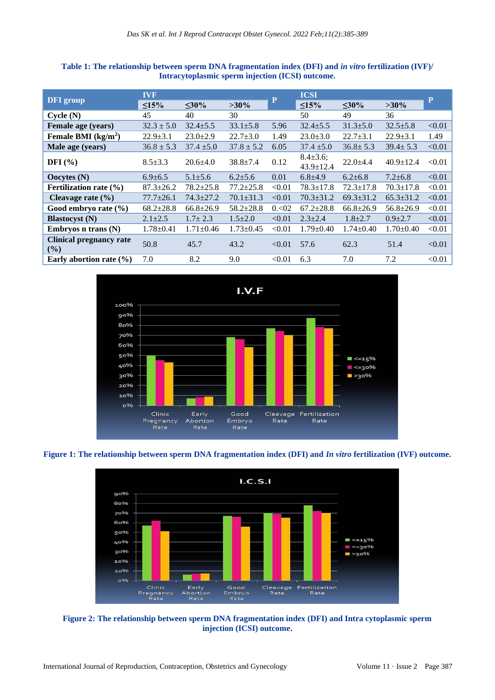| <b>DFI</b> group               | <b>IVF</b>      |                 |                 |              | <b>ICSI</b>                        |                 |                 |        |
|--------------------------------|-----------------|-----------------|-----------------|--------------|------------------------------------|-----------------|-----------------|--------|
|                                | $\leq 15\%$     | $\leq 30\%$     | $>30\%$         | $\mathbf{P}$ | $\leq15\%$                         | $\leq 30\%$     | $>30\%$         | P      |
| Cycle(N)                       | 45              | 40              | 30              |              | 50                                 | 49              | 36              |        |
| Female age (years)             | $32.3 \pm 5.0$  | $32.4 \pm 5.5$  | $33.1 \pm 5.8$  | 5.96         | $32.4 \pm 5.5$                     | $31.3 \pm 5.0$  | $32.5 + 5.8$    | < 0.01 |
| Female BMI $(kg/m2)$           | $22.9 \pm 3.1$  | $23.0 \pm 2.9$  | $22.7 \pm 3.0$  | 1.49         | $23.0 \pm 3.0$                     | $22.7 + 3.1$    | $22.9 \pm 3.1$  | 1.49   |
| Male age (years)               | $36.8 \pm 5.3$  | $37.4 \pm 5.0$  | $37.8 \pm 5.2$  | 6.05         | $37.4 \pm 5.0$                     | $36.8 \pm 5.3$  | $39.4 \pm 5.3$  | < 0.01 |
| DFI $(\% )$                    | $8.5 \pm 3.3$   | $20.6 \pm 4.0$  | $38.8 \pm 7.4$  | 0.12         | $8.4 \pm 3.6$ ;<br>$43.9 \pm 12.4$ | $22.0 \pm 4.4$  | $40.9 \pm 12.4$ | < 0.01 |
| Oocytes $(N)$                  | $6.9 \pm 6.5$   | $5.1 \pm 5.6$   | $6.2{\pm}5.6$   | 0.01         | $6.8{\pm}4.9$                      | $6.2 \pm 6.8$   | $7.2 \pm 6.8$   | < 0.01 |
| Fertilization rate $(\% )$     | $87.3 \pm 26.2$ | $78.2 \pm 25.8$ | $77.2 \pm 25.8$ | < 0.01       | $78.3 \pm 17.8$                    | $72.3 \pm 17.8$ | $70.3 \pm 17.8$ | < 0.01 |
| Cleavage rate $(\% )$          | $77.7 \pm 26.1$ | $74.3 \pm 27.2$ | $70.1 \pm 31.3$ | < 0.01       | $70.3 \pm 31.2$                    | $69.3 \pm 31.2$ | $65.3 \pm 31.2$ | < 0.01 |
| Good embryo rate $(\% )$       | $68.2 \pm 28.8$ | $66.8 \pm 26.9$ | $58.2 \pm 28.8$ | 0.02         | $67.2 \pm 28.8$                    | $66.8 \pm 26.9$ | $56.8 \pm 26.9$ | < 0.01 |
| <b>Blastocyst</b> (N)          | $2.1 \pm 2.5$   | $1.7 \pm 2.3$   | $1.5 \pm 2.0$   | < 0.01       | $2.3 \pm 2.4$                      | $1.8 \pm 2.7$   | $0.9{\pm}2.7$   | < 0.01 |
| Embryos n trans $(N)$          | $1.78 \pm 0.41$ | $1.71 \pm 0.46$ | $1.73 \pm 0.45$ | < 0.01       | $1.79 \pm 0.40$                    | $1.74 \pm 0.40$ | $1.70 \pm 0.40$ | < 0.01 |
| Clinical pregnancy rate<br>(%) | 50.8            | 45.7            | 43.2            | < 0.01       | 57.6                               | 62.3            | 51.4            | < 0.01 |
| Early abortion rate $(\% )$    | 7.0             | 8.2             | 9.0             | < 0.01       | 6.3                                | 7.0             | 7.2             | < 0.01 |

**Table 1: The relationship between sperm DNA fragmentation index (DFI) and** *in vitro* **fertilization (IVF)/ Intracytoplasmic sperm injection (ICSI) outcome.**



**Figure 1: The relationship between sperm DNA fragmentation index (DFI) and** *In vitro* **fertilization (IVF) outcome.**



**Figure 2: The relationship between sperm DNA fragmentation index (DFI) and Intra cytoplasmic sperm injection (ICSI) outcome.**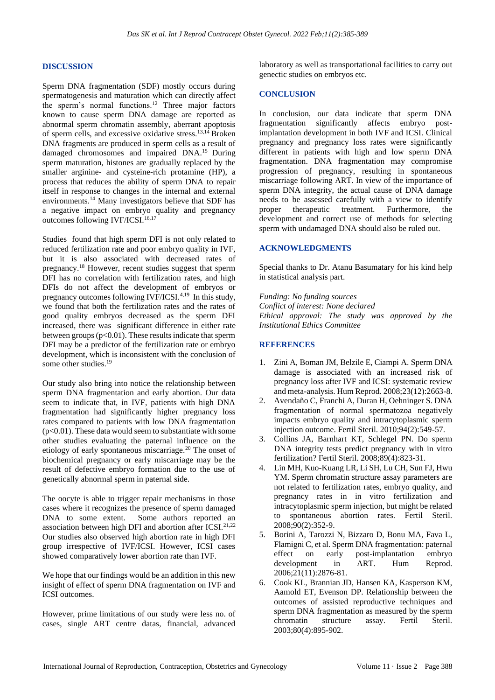#### **DISCUSSION**

Sperm DNA fragmentation (SDF) mostly occurs during spermatogenesis and maturation which can directly affect the sperm's normal functions.<sup>12</sup> Three major factors known to cause sperm DNA damage are reported as abnormal sperm chromatin assembly, aberrant apoptosis of sperm cells, and excessive oxidative stress.13,14 Broken DNA fragments are produced in sperm cells as a result of damaged chromosomes and impaired DNA.<sup>15</sup> During sperm maturation, histones are gradually replaced by the smaller arginine- and cysteine-rich protamine (HP), a process that reduces the ability of sperm DNA to repair itself in response to changes in the internal and external environments.<sup>14</sup> Many investigators believe that SDF has a negative impact on embryo quality and pregnancy outcomes following IVF/ICSI.<sup>16,17</sup>

Studies found that high sperm DFI is not only related to reduced fertilization rate and poor embryo quality in IVF, but it is also associated with decreased rates of pregnancy.<sup>18</sup> However, recent studies suggest that sperm DFI has no correlation with fertilization rates, and high DFIs do not affect the development of embryos or pregnancy outcomes following IVF/ICSI.<sup>4,19</sup> In this study, we found that both the fertilization rates and the rates of good quality embryos decreased as the sperm DFI increased, there was significant difference in either rate between groups (p<0.01). These results indicate that sperm DFI may be a predictor of the fertilization rate or embryo development, which is inconsistent with the conclusion of some other studies.<sup>19</sup>

Our study also bring into notice the relationship between sperm DNA fragmentation and early abortion. Our data seem to indicate that, in IVF, patients with high DNA fragmentation had significantly higher pregnancy loss rates compared to patients with low DNA fragmentation  $(p<0.01)$ . These data would seem to substantiate with some other studies evaluating the paternal influence on the etiology of early spontaneous miscarriage.<sup>20</sup> The onset of biochemical pregnancy or early miscarriage may be the result of defective embryo formation due to the use of genetically abnormal sperm in paternal side.

The oocyte is able to trigger repair mechanisms in those cases where it recognizes the presence of sperm damaged DNA to some extent. Some authors reported an association between high DFI and abortion after ICSI.<sup>21,22</sup> Our studies also observed high abortion rate in high DFI group irrespective of IVF/ICSI. However, ICSI cases showed comparatively lower abortion rate than IVF.

We hope that our findings would be an addition in this new insight of effect of sperm DNA fragmentation on IVF and ICSI outcomes.

However, prime limitations of our study were less no. of cases, single ART centre datas, financial, advanced laboratory as well as transportational facilities to carry out genectic studies on embryos etc.

#### **CONCLUSION**

In conclusion, our data indicate that sperm DNA fragmentation significantly affects embryo postimplantation development in both IVF and ICSI. Clinical pregnancy and pregnancy loss rates were significantly different in patients with high and low sperm DNA fragmentation. DNA fragmentation may compromise progression of pregnancy, resulting in spontaneous miscarriage following ART. In view of the importance of sperm DNA integrity, the actual cause of DNA damage needs to be assessed carefully with a view to identify proper therapeutic treatment. Furthermore, the development and correct use of methods for selecting sperm with undamaged DNA should also be ruled out.

#### **ACKNOWLEDGMENTS**

Special thanks to Dr. Atanu Basumatary for his kind help in statistical analysis part.

*Funding: No funding sources Conflict of interest: None declared Ethical approval: The study was approved by the Institutional Ethics Committee*

#### **REFERENCES**

- 1. Zini A, Boman JM, Belzile E, Ciampi A. Sperm DNA damage is associated with an increased risk of pregnancy loss after IVF and ICSI: systematic review and meta-analysis. Hum Reprod. 2008;23(12):2663-8.
- 2. Avendaño C, Franchi A, Duran H, Oehninger S. DNA fragmentation of normal spermatozoa negatively impacts embryo quality and intracytoplasmic sperm injection outcome. Fertil Steril. 2010;94(2):549-57.
- 3. Collins JA, Barnhart KT, Schlegel PN. Do sperm DNA integrity tests predict pregnancy with in vitro fertilization? Fertil Steril. 2008;89(4):823-31.
- 4. Lin MH, Kuo-Kuang LR, Li SH, Lu CH, Sun FJ, Hwu YM. Sperm chromatin structure assay parameters are not related to fertilization rates, embryo quality, and pregnancy rates in in vitro fertilization and intracytoplasmic sperm injection, but might be related to spontaneous abortion rates. Fertil Steril. 2008;90(2):352-9.
- 5. Borini A, Tarozzi N, Bizzaro D, Bonu MA, Fava L, Flamigni C, et al. Sperm DNA fragmentation: paternal effect on early post-implantation embryo development in ART. Hum Reprod. 2006;21(11):2876-81.
- 6. Cook KL, Brannian JD, Hansen KA, Kasperson KM, Aamold ET, Evenson DP. Relationship between the outcomes of assisted reproductive techniques and sperm DNA fragmentation as measured by the sperm chromatin structure assay. Fertil Steril. 2003;80(4):895-902.